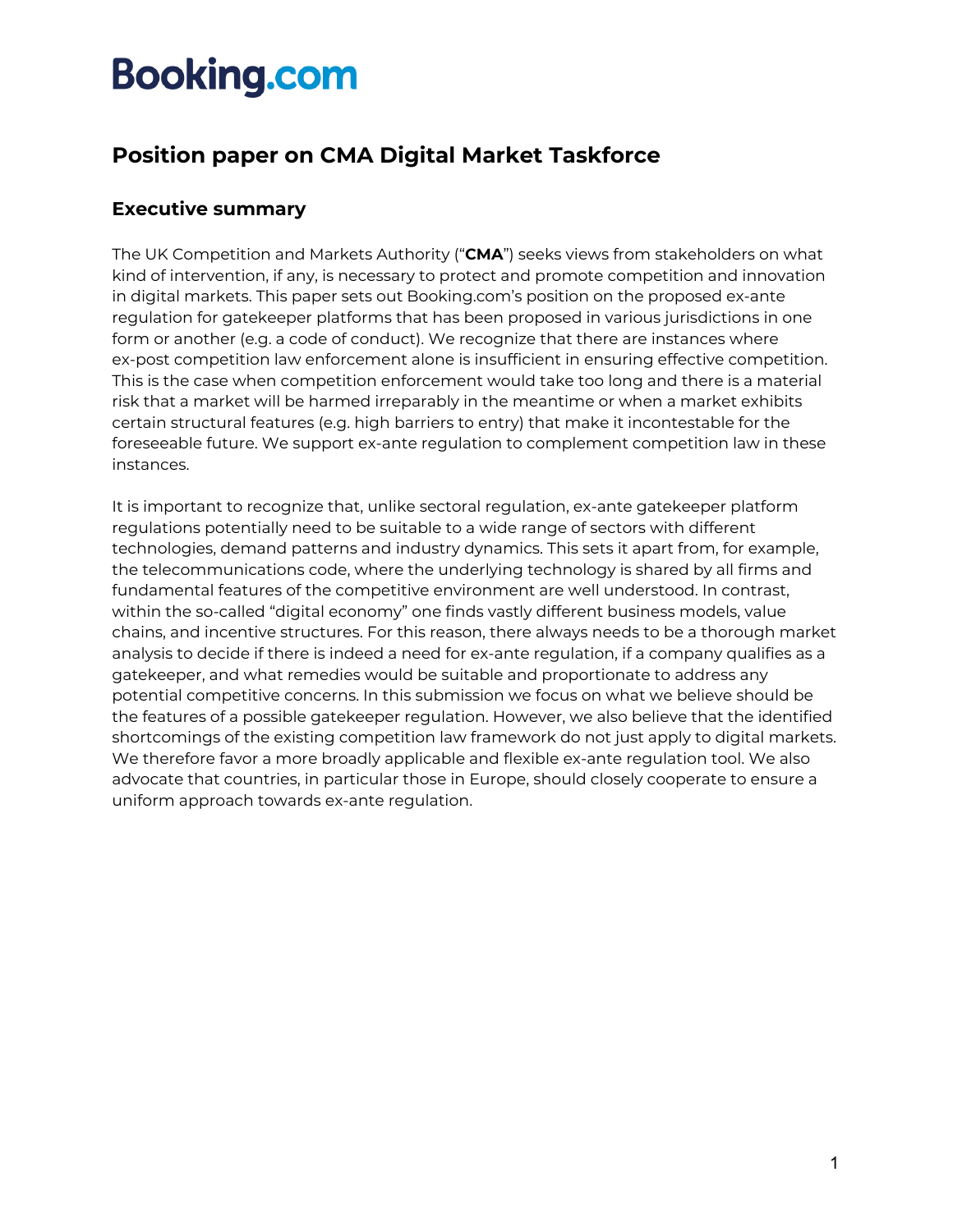### **Position paper on CMA Digital Market Taskforce**

### **Executive summary**

The UK Competition and Markets Authority ("**CMA**") seeks views from stakeholders on what kind of intervention, if any, is necessary to protect and promote competition and innovation in digital markets. This paper sets out Booking.com's position on the proposed ex-ante regulation for gatekeeper platforms that has been proposed in various jurisdictions in one form or another (e.g. a code of conduct). We recognize that there are instances where ex-post competition law enforcement alone is insufficient in ensuring effective competition. This is the case when competition enforcement would take too long and there is a material risk that a market will be harmed irreparably in the meantime or when a market exhibits certain structural features (e.g. high barriers to entry) that make it incontestable for the foreseeable future. We support ex-ante regulation to complement competition law in these instances.

It is important to recognize that, unlike sectoral regulation, ex-ante gatekeeper platform regulations potentially need to be suitable to a wide range of sectors with different technologies, demand patterns and industry dynamics. This sets it apart from, for example, the telecommunications code, where the underlying technology is shared by all firms and fundamental features of the competitive environment are well understood. In contrast, within the so-called "digital economy" one finds vastly different business models, value chains, and incentive structures. For this reason, there always needs to be a thorough market analysis to decide if there is indeed a need for ex-ante regulation, if a company qualifies as a gatekeeper, and what remedies would be suitable and proportionate to address any potential competitive concerns. In this submission we focus on what we believe should be the features of a possible gatekeeper regulation. However, we also believe that the identified shortcomings of the existing competition law framework do not just apply to digital markets. We therefore favor a more broadly applicable and flexible ex-ante regulation tool. We also advocate that countries, in particular those in Europe, should closely cooperate to ensure a uniform approach towards ex-ante regulation.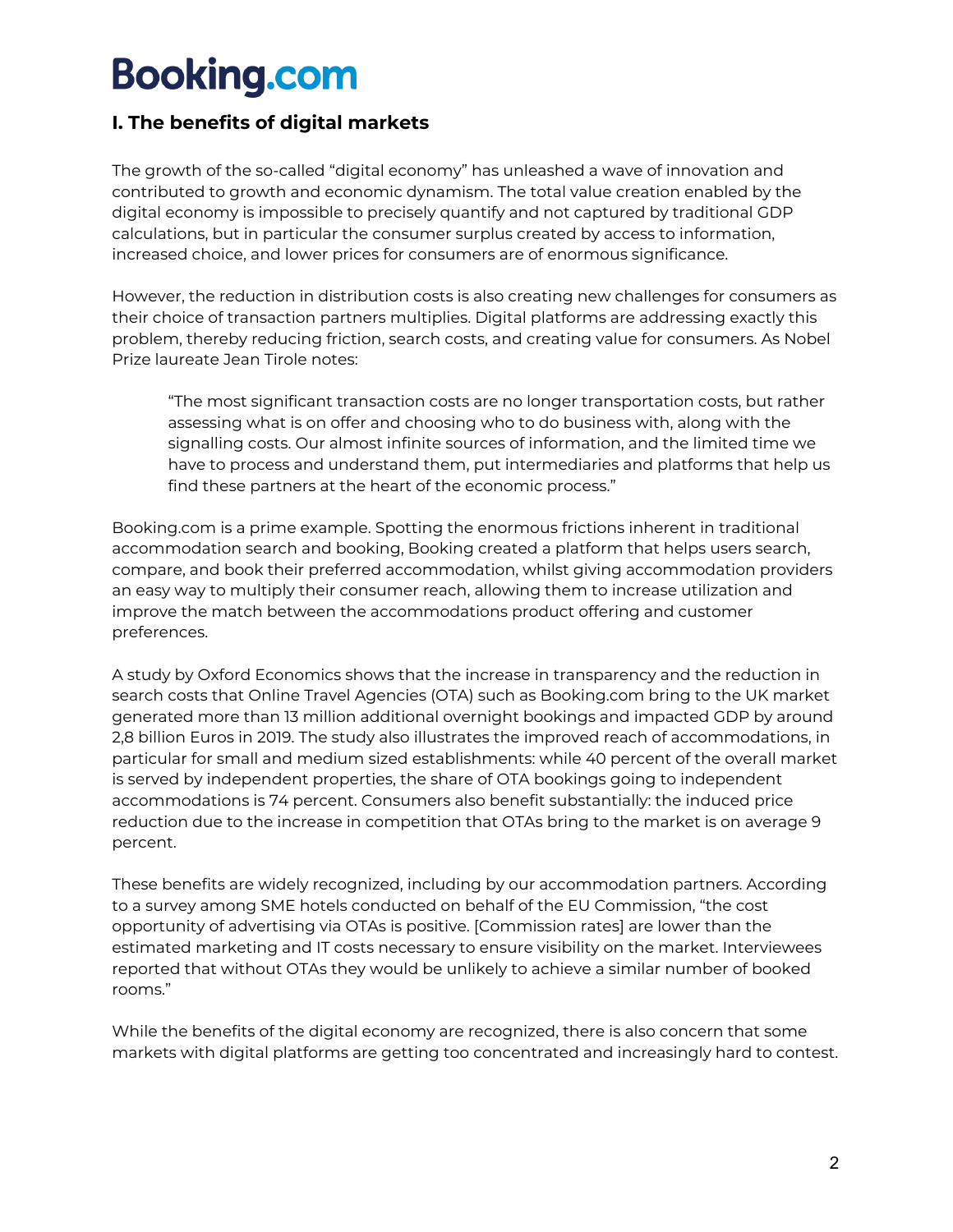### **I. The benefits of digital markets**

The growth of the so-called "digital economy" has unleashed a wave of innovation and contributed to growth and economic dynamism. The total value creation enabled by the digital economy is impossible to precisely quantify and not captured by traditional GDP calculations, but in particular the consumer surplus created by access to information, increased choice, and lower prices for consumers are of enormous significance.

However, the reduction in distribution costs is also creating new challenges for consumers as their choice of transaction partners multiplies. Digital platforms are addressing exactly this problem, thereby reducing friction, search costs, and creating value for consumers. As Nobel Prize laureate Jean Tirole notes:

"The most significant transaction costs are no longer transportation costs, but rather assessing what is on offer and choosing who to do business with, along with the signalling costs. Our almost infinite sources of information, and the limited time we have to process and understand them, put intermediaries and platforms that help us find these partners at the heart of the economic process."

Booking.com is a prime example. Spotting the enormous frictions inherent in traditional accommodation search and booking, Booking created a platform that helps users search, compare, and book their preferred accommodation, whilst giving accommodation providers an easy way to multiply their consumer reach, allowing them to increase utilization and improve the match between the accommodations product offering and customer preferences.

A study by Oxford Economics shows that the increase in transparency and the reduction in search costs that Online Travel Agencies (OTA) such as Booking.com bring to the UK market generated more than 13 million additional overnight bookings and impacted GDP by around 2,8 billion Euros in 2019. The study also illustrates the improved reach of accommodations, in particular for small and medium sized establishments: while 40 percent of the overall market is served by independent properties, the share of OTA bookings going to independent accommodations is 74 percent. Consumers also benefit substantially: the induced price reduction due to the increase in competition that OTAs bring to the market is on average 9 percent.

These benefits are widely recognized, including by our accommodation partners. According to a survey among SME hotels conducted on behalf of the EU Commission, "the cost opportunity of advertising via OTAs is positive. [Commission rates] are lower than the estimated marketing and IT costs necessary to ensure visibility on the market. Interviewees reported that without OTAs they would be unlikely to achieve a similar number of booked rooms."

While the benefits of the digital economy are recognized, there is also concern that some markets with digital platforms are getting too concentrated and increasingly hard to contest.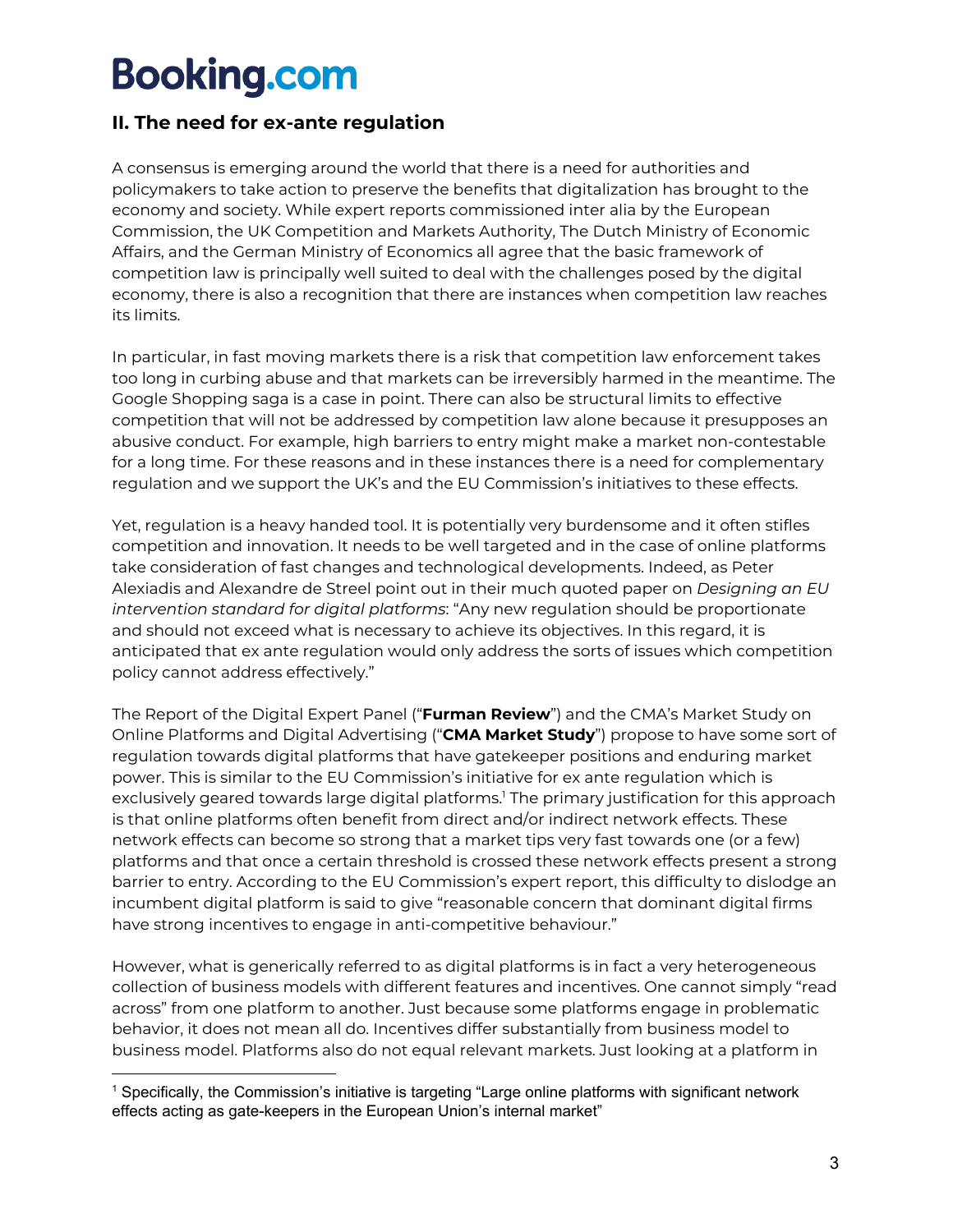### **II. The need for ex-ante regulation**

A consensus is emerging around the world that there is a need for authorities and policymakers to take action to preserve the benefits that digitalization has brought to the economy and society. While expert reports commissioned inter alia by the European Commission, the UK Competition and Markets Authority, The Dutch Ministry of Economic Affairs, and the German Ministry of Economics all agree that the basic framework of competition law is principally well suited to deal with the challenges posed by the digital economy, there is also a recognition that there are instances when competition law reaches its limits.

In particular, in fast moving markets there is a risk that competition law enforcement takes too long in curbing abuse and that markets can be irreversibly harmed in the meantime. The Google Shopping saga is a case in point. There can also be structural limits to effective competition that will not be addressed by competition law alone because it presupposes an abusive conduct. For example, high barriers to entry might make a market non-contestable for a long time. For these reasons and in these instances there is a need for complementary regulation and we support the UK's and the EU Commission's initiatives to these effects.

Yet, regulation is a heavy handed tool. It is potentially very burdensome and it often stifles competition and innovation. It needs to be well targeted and in the case of online platforms take consideration of fast changes and technological developments. Indeed, as Peter Alexiadis and Alexandre de Streel point out in their much quoted paper on *Designing an EU intervention standard for digital platforms*: "Any new regulation should be proportionate and should not exceed what is necessary to achieve its objectives. In this regard, it is anticipated that ex ante regulation would only address the sorts of issues which competition policy cannot address effectively."

The Report of the Digital Expert Panel ("**Furman Review**") and the CMA's Market Study on Online Platforms and Digital Advertising ("**CMA Market Study**") propose to have some sort of regulation towards digital platforms that have gatekeeper positions and enduring market power. This is similar to the EU Commission's initiative for ex ante regulation which is exclusively geared towards large digital platforms.<sup>1</sup> The primary justification for this approach is that online platforms often benefit from direct and/or indirect network effects. These network effects can become so strong that a market tips very fast towards one (or a few) platforms and that once a certain threshold is crossed these network effects present a strong barrier to entry. According to the EU Commission's expert report, this difficulty to dislodge an incumbent digital platform is said to give "reasonable concern that dominant digital firms have strong incentives to engage in anti-competitive behaviour."

However, what is generically referred to as digital platforms is in fact a very heterogeneous collection of business models with different features and incentives. One cannot simply "read across" from one platform to another. Just because some platforms engage in problematic behavior, it does not mean all do. Incentives differ substantially from business model to business model. Platforms also do not equal relevant markets. Just looking at a platform in

<sup>1</sup> Specifically, the Commission's initiative is targeting "Large online platforms with significant network effects acting as gate-keepers in the European Union's internal market"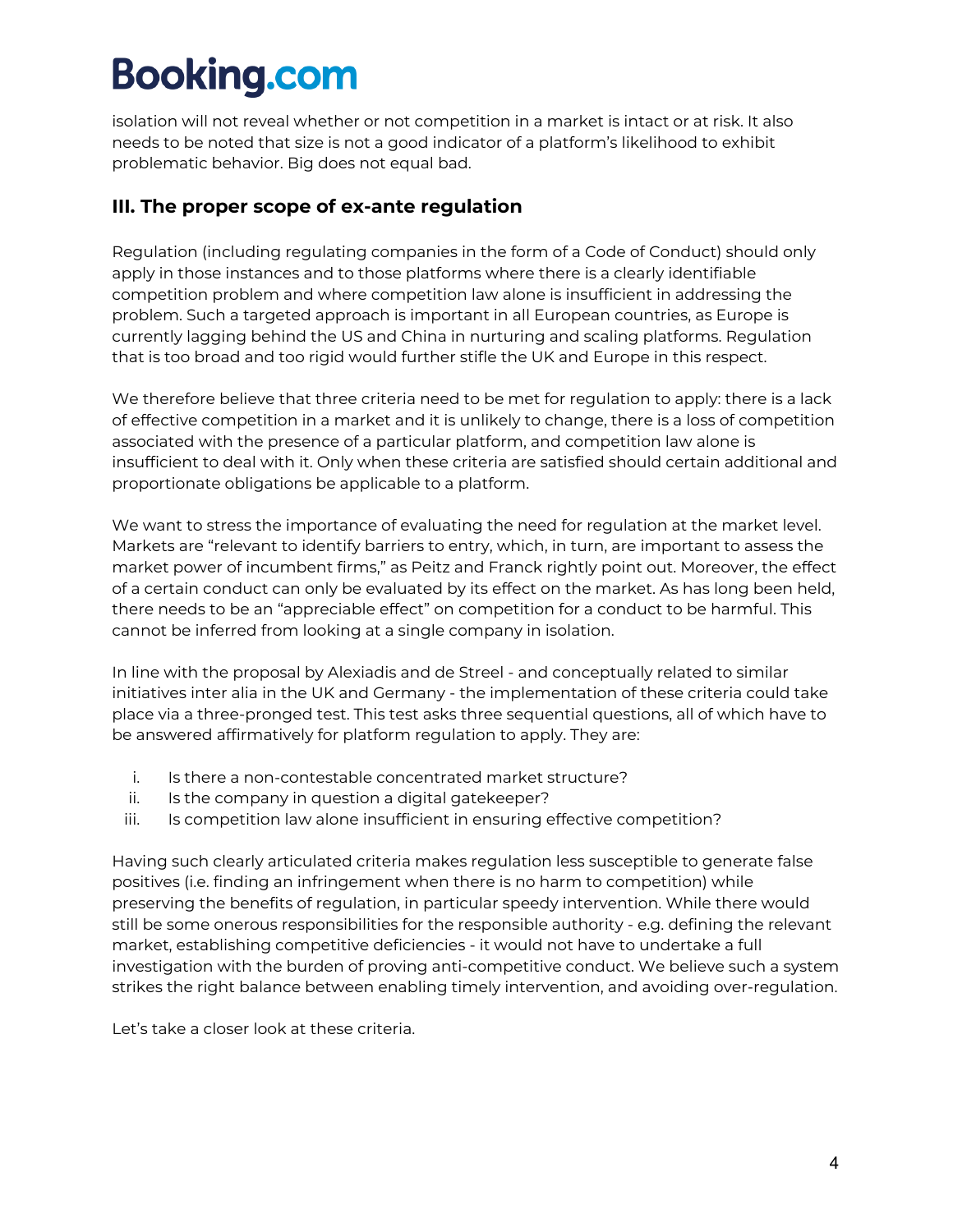isolation will not reveal whether or not competition in a market is intact or at risk. It also needs to be noted that size is not a good indicator of a platform's likelihood to exhibit problematic behavior. Big does not equal bad.

### **III. The proper scope of ex-ante regulation**

Regulation (including regulating companies in the form of a Code of Conduct) should only apply in those instances and to those platforms where there is a clearly identifiable competition problem and where competition law alone is insufficient in addressing the problem. Such a targeted approach is important in all European countries, as Europe is currently lagging behind the US and China in nurturing and scaling platforms. Regulation that is too broad and too rigid would further stifle the UK and Europe in this respect.

We therefore believe that three criteria need to be met for regulation to apply: there is a lack of effective competition in a market and it is unlikely to change, there is a loss of competition associated with the presence of a particular platform, and competition law alone is insufficient to deal with it. Only when these criteria are satisfied should certain additional and proportionate obligations be applicable to a platform.

We want to stress the importance of evaluating the need for regulation at the market level. Markets are "relevant to identify barriers to entry, which, in turn, are important to assess the market power of incumbent firms," as Peitz and Franck rightly point out. Moreover, the effect of a certain conduct can only be evaluated by its effect on the market. As has long been held, there needs to be an "appreciable effect" on competition for a conduct to be harmful. This cannot be inferred from looking at a single company in isolation.

In line with the proposal by Alexiadis and de Streel - and conceptually related to similar initiatives inter alia in the UK and Germany - the implementation of these criteria could take place via a three-pronged test. This test asks three sequential questions, all of which have to be answered affirmatively for platform regulation to apply. They are:

- i. Is there a non-contestable concentrated market structure?
- ii. Is the company in question a digital gatekeeper?
- iii. Is competition law alone insufficient in ensuring effective competition?

Having such clearly articulated criteria makes regulation less susceptible to generate false positives (i.e. finding an infringement when there is no harm to competition) while preserving the benefits of regulation, in particular speedy intervention. While there would still be some onerous responsibilities for the responsible authority - e.g. defining the relevant market, establishing competitive deficiencies - it would not have to undertake a full investigation with the burden of proving anti-competitive conduct. We believe such a system strikes the right balance between enabling timely intervention, and avoiding over-regulation.

Let's take a closer look at these criteria.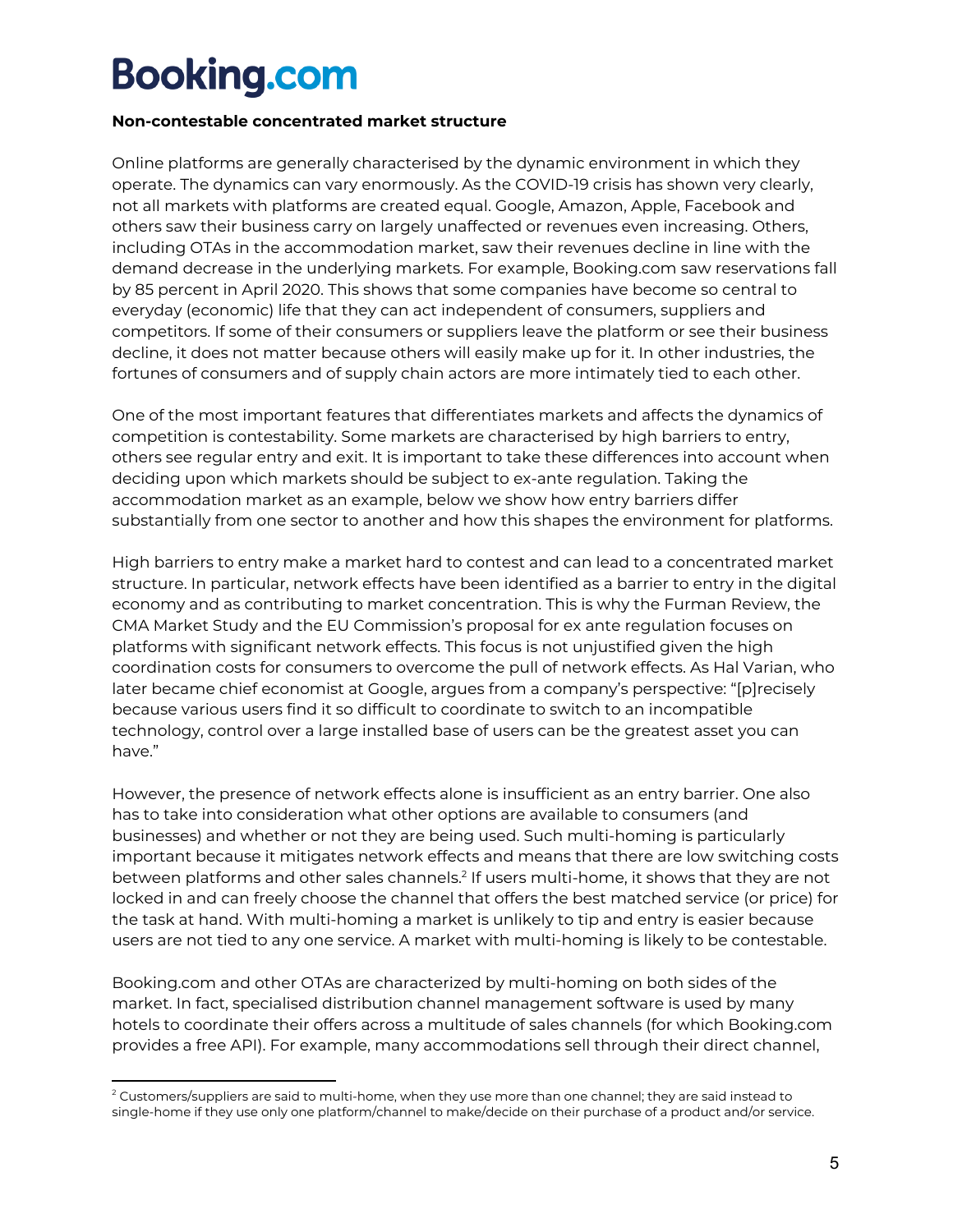#### **Non-contestable concentrated market structure**

Online platforms are generally characterised by the dynamic environment in which they operate. The dynamics can vary enormously. As the COVID-19 crisis has shown very clearly, not all markets with platforms are created equal. Google, Amazon, Apple, Facebook and others saw their business carry on largely unaffected or revenues even increasing. Others, including OTAs in the accommodation market, saw their revenues decline in line with the demand decrease in the underlying markets. For example, Booking.com saw reservations fall by 85 percent in April 2020. This shows that some companies have become so central to everyday (economic) life that they can act independent of consumers, suppliers and competitors. If some of their consumers or suppliers leave the platform or see their business decline, it does not matter because others will easily make up for it. In other industries, the fortunes of consumers and of supply chain actors are more intimately tied to each other.

One of the most important features that differentiates markets and affects the dynamics of competition is contestability. Some markets are characterised by high barriers to entry, others see regular entry and exit. It is important to take these differences into account when deciding upon which markets should be subject to ex-ante regulation. Taking the accommodation market as an example, below we show how entry barriers differ substantially from one sector to another and how this shapes the environment for platforms.

High barriers to entry make a market hard to contest and can lead to a concentrated market structure. In particular, network effects have been identified as a barrier to entry in the digital economy and as contributing to market concentration. This is why the Furman Review, the CMA Market Study and the EU Commission's proposal for ex ante regulation focuses on platforms with significant network effects. This focus is not unjustified given the high coordination costs for consumers to overcome the pull of network effects. As Hal Varian, who later became chief economist at Google, argues from a company's perspective: "[p]recisely because various users find it so difficult to coordinate to switch to an incompatible technology, control over a large installed base of users can be the greatest asset you can have."

However, the presence of network effects alone is insufficient as an entry barrier. One also has to take into consideration what other options are available to consumers (and businesses) and whether or not they are being used. Such multi-homing is particularly important because it mitigates network effects and means that there are low switching costs between platforms and other sales channels.<sup>2</sup> If users multi-home, it shows that they are not locked in and can freely choose the channel that offers the best matched service (or price) for the task at hand. With multi-homing a market is unlikely to tip and entry is easier because users are not tied to any one service. A market with multi-homing is likely to be contestable.

Booking.com and other OTAs are characterized by multi-homing on both sides of the market. In fact, specialised distribution channel management software is used by many hotels to coordinate their offers across a multitude of sales channels (for which Booking.com provides a free API). For example, many accommodations sell through their direct channel,

 $^2$  Customers/suppliers are said to multi-home, when they use more than one channel; they are said instead to single-home if they use only one platform/channel to make/decide on their purchase of a product and/or service.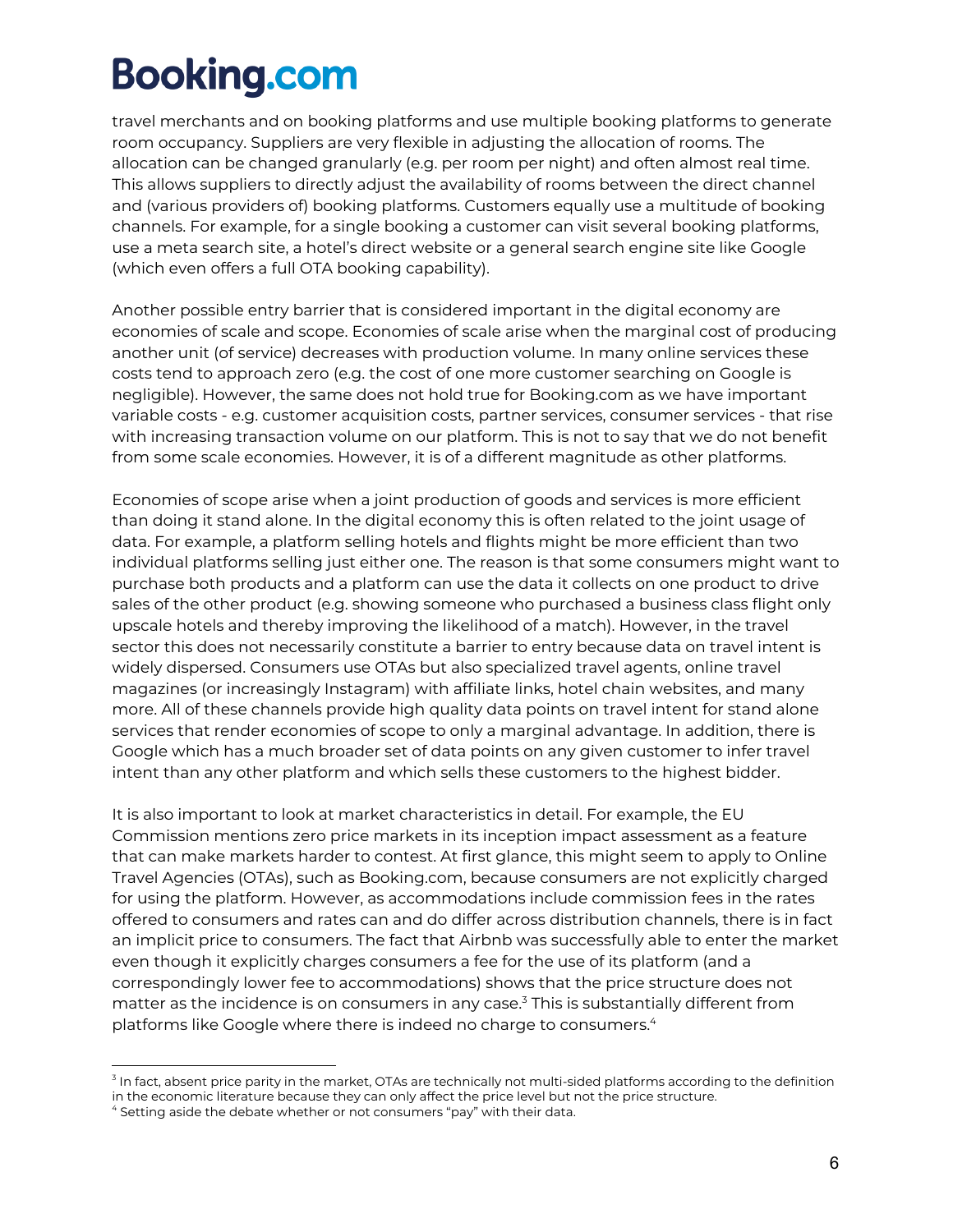travel merchants and on booking platforms and use multiple booking platforms to generate room occupancy. Suppliers are very flexible in adjusting the allocation of rooms. The allocation can be changed granularly (e.g. per room per night) and often almost real time. This allows suppliers to directly adjust the availability of rooms between the direct channel and (various providers of) booking platforms. Customers equally use a multitude of booking channels. For example, for a single booking a customer can visit several booking platforms, use a meta search site, a hotel's direct website or a general search engine site like Google (which even offers a full OTA booking capability).

Another possible entry barrier that is considered important in the digital economy are economies of scale and scope. Economies of scale arise when the marginal cost of producing another unit (of service) decreases with production volume. In many online services these costs tend to approach zero (e.g. the cost of one more customer searching on Google is negligible). However, the same does not hold true for Booking.com as we have important variable costs - e.g. customer acquisition costs, partner services, consumer services - that rise with increasing transaction volume on our platform. This is not to say that we do not benefit from some scale economies. However, it is of a different magnitude as other platforms.

Economies of scope arise when a joint production of goods and services is more efficient than doing it stand alone. In the digital economy this is often related to the joint usage of data. For example, a platform selling hotels and flights might be more efficient than two individual platforms selling just either one. The reason is that some consumers might want to purchase both products and a platform can use the data it collects on one product to drive sales of the other product (e.g. showing someone who purchased a business class flight only upscale hotels and thereby improving the likelihood of a match). However, in the travel sector this does not necessarily constitute a barrier to entry because data on travel intent is widely dispersed. Consumers use OTAs but also specialized travel agents, online travel magazines (or increasingly Instagram) with affiliate links, hotel chain websites, and many more. All of these channels provide high quality data points on travel intent for stand alone services that render economies of scope to only a marginal advantage. In addition, there is Google which has a much broader set of data points on any given customer to infer travel intent than any other platform and which sells these customers to the highest bidder.

It is also important to look at market characteristics in detail. For example, the EU Commission mentions zero price markets in its inception impact assessment as a feature that can make markets harder to contest. At first glance, this might seem to apply to Online Travel Agencies (OTAs), such as Booking.com, because consumers are not explicitly charged for using the platform. However, as accommodations include commission fees in the rates offered to consumers and rates can and do differ across distribution channels, there is in fact an implicit price to consumers. The fact that Airbnb was successfully able to enter the market even though it explicitly charges consumers a fee for the use of its platform (and a correspondingly lower fee to accommodations) shows that the price structure does not matter as the incidence is on consumers in any case.<sup>3</sup> This is substantially different from platforms like Google where there is indeed no charge to consumers.<sup>4</sup>

 $3$  In fact, absent price parity in the market, OTAs are technically not multi-sided platforms according to the definition in the economic literature because they can only affect the price level but not the price structure.

 $<sup>4</sup>$  Setting aside the debate whether or not consumers "pay" with their data.</sup>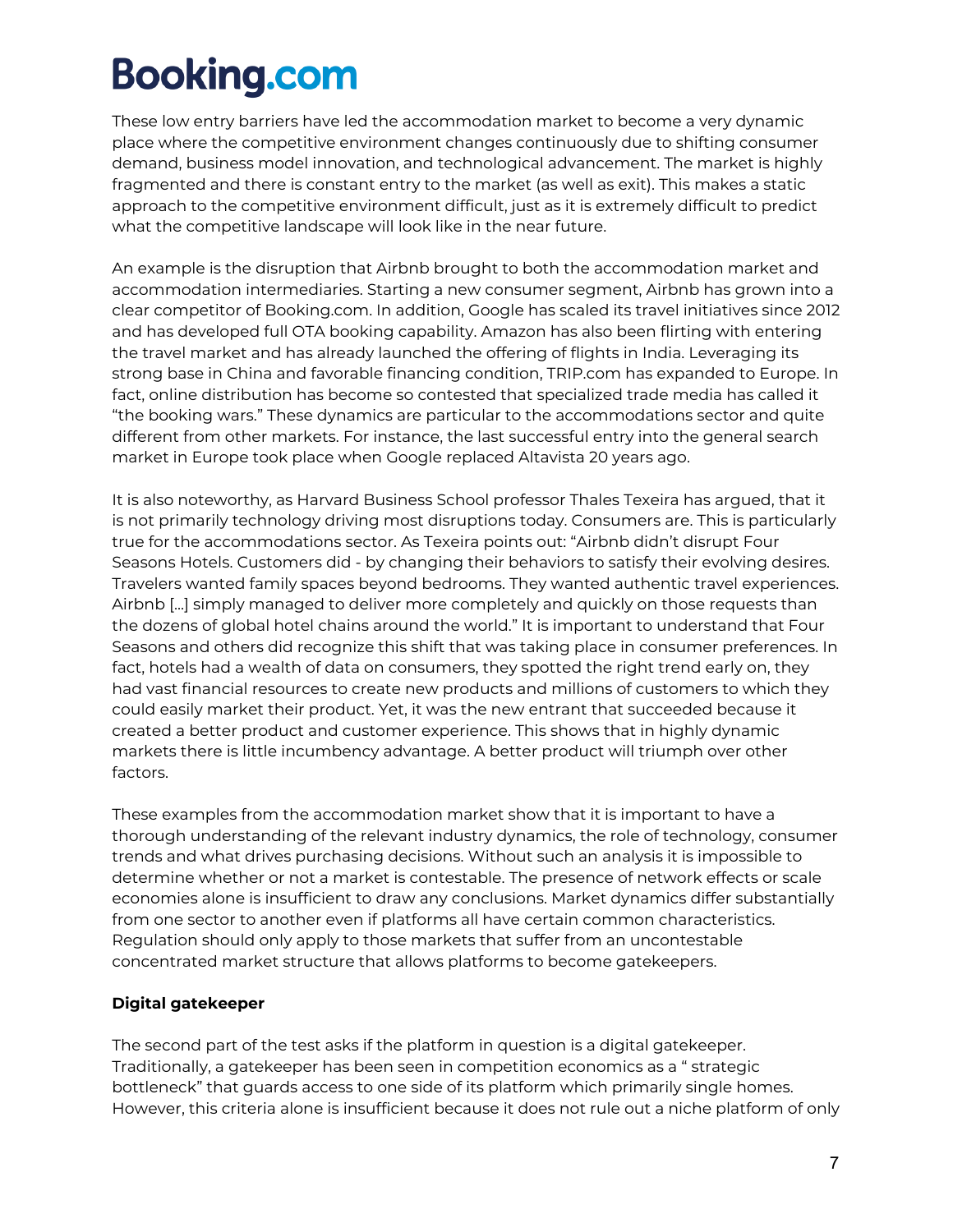These low entry barriers have led the accommodation market to become a very dynamic place where the competitive environment changes continuously due to shifting consumer demand, business model innovation, and technological advancement. The market is highly fragmented and there is constant entry to the market (as well as exit). This makes a static approach to the competitive environment difficult, just as it is extremely difficult to predict what the competitive landscape will look like in the near future.

An example is the disruption that Airbnb brought to both the accommodation market and accommodation intermediaries. Starting a new consumer segment, Airbnb has grown into a clear competitor of Booking.com. In addition, Google has scaled its travel initiatives since 2012 and has developed full OTA booking capability. Amazon has also been flirting with entering the travel market and has already launched the offering of flights in India. Leveraging its strong base in China and favorable financing condition, TRIP.com has expanded to Europe. In fact, online distribution has become so contested that specialized trade media has called it "the booking wars." These dynamics are particular to the accommodations sector and quite different from other markets. For instance, the last successful entry into the general search market in Europe took place when Google replaced Altavista 20 years ago.

It is also noteworthy, as Harvard Business School professor Thales Texeira has argued, that it is not primarily technology driving most disruptions today. Consumers are. This is particularly true for the accommodations sector. As Texeira points out: "Airbnb didn't disrupt Four Seasons Hotels. Customers did - by changing their behaviors to satisfy their evolving desires. Travelers wanted family spaces beyond bedrooms. They wanted authentic travel experiences. Airbnb [...] simply managed to deliver more completely and quickly on those requests than the dozens of global hotel chains around the world." It is important to understand that Four Seasons and others did recognize this shift that was taking place in consumer preferences. In fact, hotels had a wealth of data on consumers, they spotted the right trend early on, they had vast financial resources to create new products and millions of customers to which they could easily market their product. Yet, it was the new entrant that succeeded because it created a better product and customer experience. This shows that in highly dynamic markets there is little incumbency advantage. A better product will triumph over other factors.

These examples from the accommodation market show that it is important to have a thorough understanding of the relevant industry dynamics, the role of technology, consumer trends and what drives purchasing decisions. Without such an analysis it is impossible to determine whether or not a market is contestable. The presence of network effects or scale economies alone is insufficient to draw any conclusions. Market dynamics differ substantially from one sector to another even if platforms all have certain common characteristics. Regulation should only apply to those markets that suffer from an uncontestable concentrated market structure that allows platforms to become gatekeepers.

### **Digital gatekeeper**

The second part of the test asks if the platform in question is a digital gatekeeper. Traditionally, a gatekeeper has been seen in competition economics as a " strategic bottleneck" that guards access to one side of its platform which primarily single homes. However, this criteria alone is insufficient because it does not rule out a niche platform of only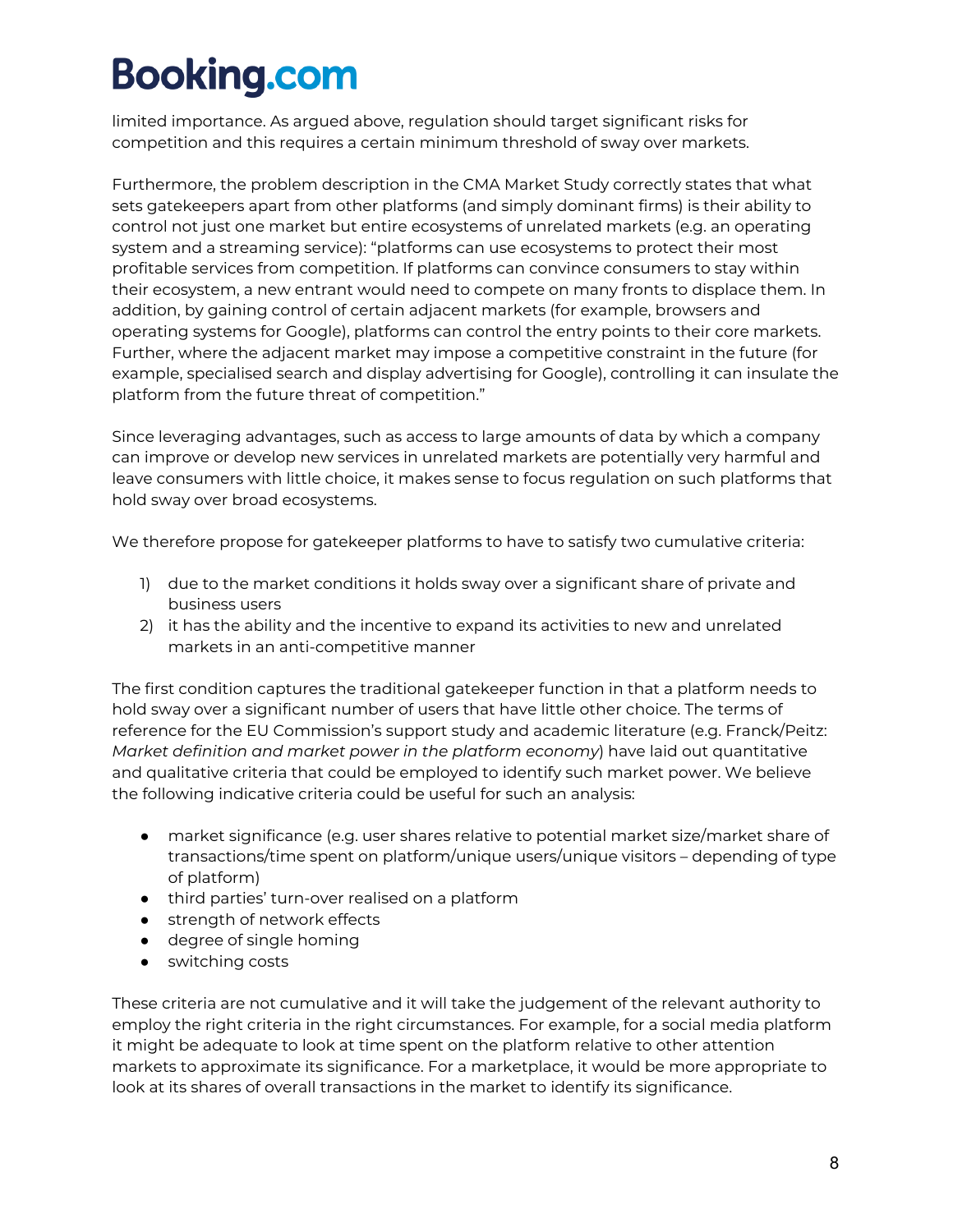limited importance. As argued above, regulation should target significant risks for competition and this requires a certain minimum threshold of sway over markets.

Furthermore, the problem description in the CMA Market Study correctly states that what sets gatekeepers apart from other platforms (and simply dominant firms) is their ability to control not just one market but entire ecosystems of unrelated markets (e.g. an operating system and a streaming service): "platforms can use ecosystems to protect their most profitable services from competition. If platforms can convince consumers to stay within their ecosystem, a new entrant would need to compete on many fronts to displace them. In addition, by gaining control of certain adjacent markets (for example, browsers and operating systems for Google), platforms can control the entry points to their core markets. Further, where the adjacent market may impose a competitive constraint in the future (for example, specialised search and display advertising for Google), controlling it can insulate the platform from the future threat of competition."

Since leveraging advantages, such as access to large amounts of data by which a company can improve or develop new services in unrelated markets are potentially very harmful and leave consumers with little choice, it makes sense to focus regulation on such platforms that hold sway over broad ecosystems.

We therefore propose for gatekeeper platforms to have to satisfy two cumulative criteria:

- 1) due to the market conditions it holds sway over a significant share of private and business users
- 2) it has the ability and the incentive to expand its activities to new and unrelated markets in an anti-competitive manner

The first condition captures the traditional gatekeeper function in that a platform needs to hold sway over a significant number of users that have little other choice. The terms of reference for the EU Commission's support study and academic literature (e.g. Franck/Peitz: *Market definition and market power in the platform economy*) have laid out quantitative and qualitative criteria that could be employed to identify such market power. We believe the following indicative criteria could be useful for such an analysis:

- market significance (e.g. user shares relative to potential market size/market share of transactions/time spent on platform/unique users/unique visitors – depending of type of platform)
- third parties' turn-over realised on a platform
- strength of network effects
- degree of single homing
- switching costs

These criteria are not cumulative and it will take the judgement of the relevant authority to employ the right criteria in the right circumstances. For example, for a social media platform it might be adequate to look at time spent on the platform relative to other attention markets to approximate its significance. For a marketplace, it would be more appropriate to look at its shares of overall transactions in the market to identify its significance.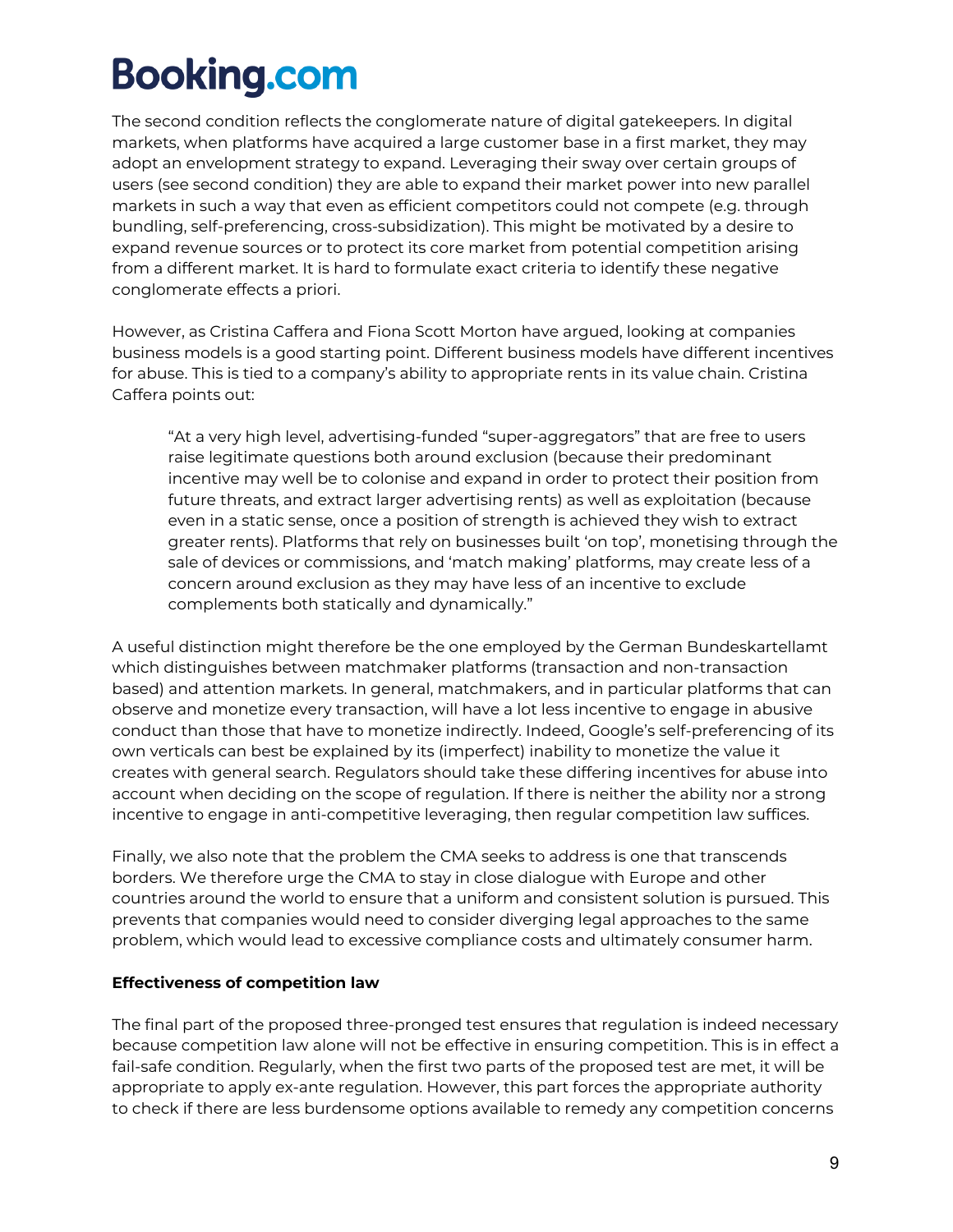The second condition reflects the conglomerate nature of digital gatekeepers. In digital markets, when platforms have acquired a large customer base in a first market, they may adopt an envelopment strategy to expand. Leveraging their sway over certain groups of users (see second condition) they are able to expand their market power into new parallel markets in such a way that even as efficient competitors could not compete (e.g. through bundling, self-preferencing, cross-subsidization). This might be motivated by a desire to expand revenue sources or to protect its core market from potential competition arising from a different market. It is hard to formulate exact criteria to identify these negative conglomerate effects a priori.

However, as Cristina Caffera and Fiona Scott Morton have argued, looking at companies business models is a good starting point. Different business models have different incentives for abuse. This is tied to a company's ability to appropriate rents in its value chain. Cristina Caffera points out:

"At a very high level, advertising-funded "super-aggregators" that are free to users raise legitimate questions both around exclusion (because their predominant incentive may well be to colonise and expand in order to protect their position from future threats, and extract larger advertising rents) as well as exploitation (because even in a static sense, once a position of strength is achieved they wish to extract greater rents). Platforms that rely on businesses built 'on top', monetising through the sale of devices or commissions, and 'match making' platforms, may create less of a concern around exclusion as they may have less of an incentive to exclude complements both statically and dynamically."

A useful distinction might therefore be the one employed by the German Bundeskartellamt which distinguishes between matchmaker platforms (transaction and non-transaction based) and attention markets. In general, matchmakers, and in particular platforms that can observe and monetize every transaction, will have a lot less incentive to engage in abusive conduct than those that have to monetize indirectly. Indeed, Google's self-preferencing of its own verticals can best be explained by its (imperfect) inability to monetize the value it creates with general search. Regulators should take these differing incentives for abuse into account when deciding on the scope of regulation. If there is neither the ability nor a strong incentive to engage in anti-competitive leveraging, then regular competition law suffices.

Finally, we also note that the problem the CMA seeks to address is one that transcends borders. We therefore urge the CMA to stay in close dialogue with Europe and other countries around the world to ensure that a uniform and consistent solution is pursued. This prevents that companies would need to consider diverging legal approaches to the same problem, which would lead to excessive compliance costs and ultimately consumer harm.

#### **Effectiveness of competition law**

The final part of the proposed three-pronged test ensures that regulation is indeed necessary because competition law alone will not be effective in ensuring competition. This is in effect a fail-safe condition. Regularly, when the first two parts of the proposed test are met, it will be appropriate to apply ex-ante regulation. However, this part forces the appropriate authority to check if there are less burdensome options available to remedy any competition concerns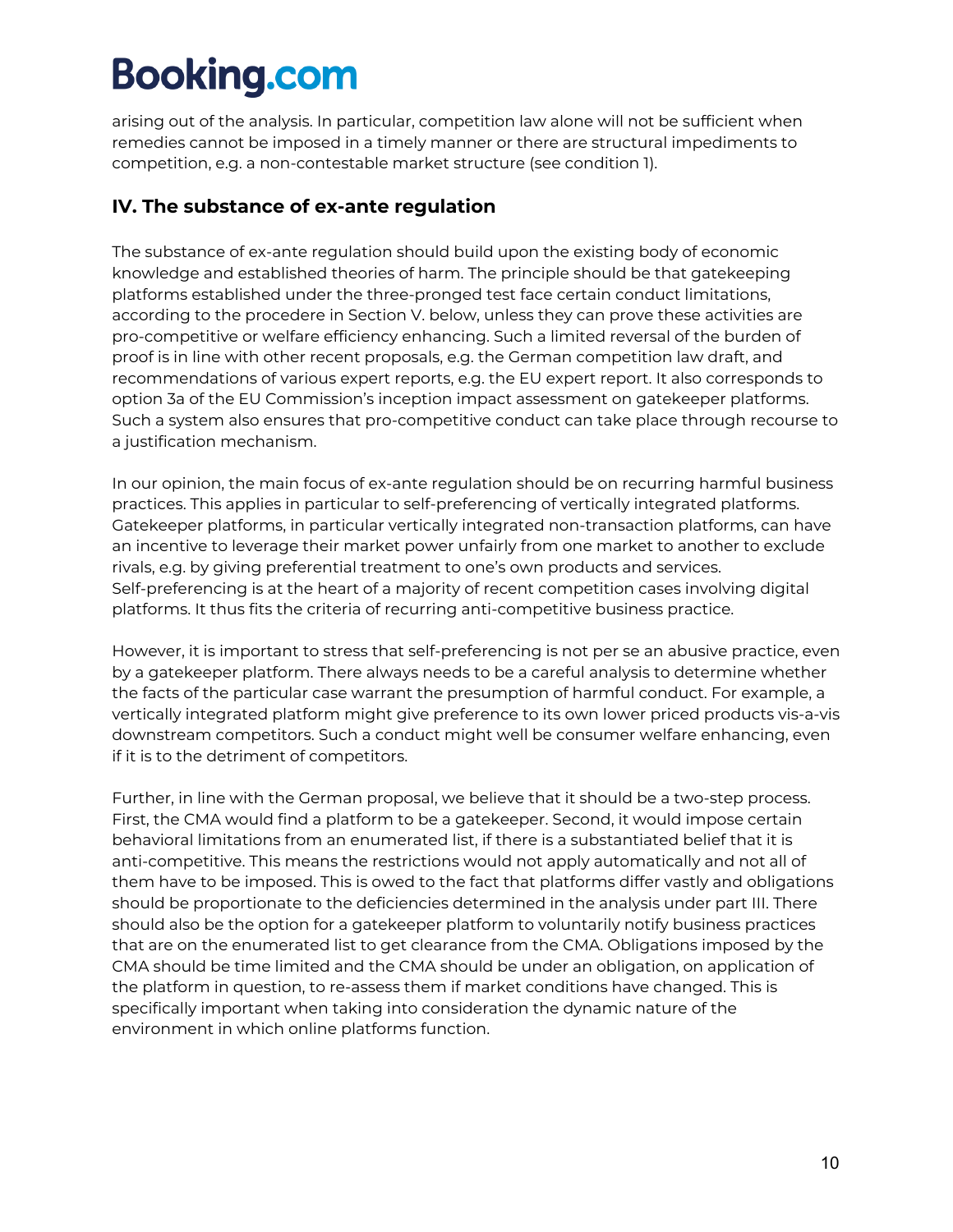arising out of the analysis. In particular, competition law alone will not be sufficient when remedies cannot be imposed in a timely manner or there are structural impediments to competition, e.g. a non-contestable market structure (see condition 1).

### **IV. The substance of ex-ante regulation**

The substance of ex-ante regulation should build upon the existing body of economic knowledge and established theories of harm. The principle should be that gatekeeping platforms established under the three-pronged test face certain conduct limitations, according to the procedere in Section V. below, unless they can prove these activities are pro-competitive or welfare efficiency enhancing. Such a limited reversal of the burden of proof is in line with other recent proposals, e.g. the German competition law draft, and recommendations of various expert reports, e.g. the EU expert report. It also corresponds to option 3a of the EU Commission's inception impact assessment on gatekeeper platforms. Such a system also ensures that pro-competitive conduct can take place through recourse to a justification mechanism.

In our opinion, the main focus of ex-ante regulation should be on recurring harmful business practices. This applies in particular to self-preferencing of vertically integrated platforms. Gatekeeper platforms, in particular vertically integrated non-transaction platforms, can have an incentive to leverage their market power unfairly from one market to another to exclude rivals, e.g. by giving preferential treatment to one's own products and services. Self-preferencing is at the heart of a majority of recent competition cases involving digital platforms. It thus fits the criteria of recurring anti-competitive business practice.

However, it is important to stress that self-preferencing is not per se an abusive practice, even by a gatekeeper platform. There always needs to be a careful analysis to determine whether the facts of the particular case warrant the presumption of harmful conduct. For example, a vertically integrated platform might give preference to its own lower priced products vis-a-vis downstream competitors. Such a conduct might well be consumer welfare enhancing, even if it is to the detriment of competitors.

Further, in line with the German proposal, we believe that it should be a two-step process. First, the CMA would find a platform to be a gatekeeper. Second, it would impose certain behavioral limitations from an enumerated list, if there is a substantiated belief that it is anti-competitive. This means the restrictions would not apply automatically and not all of them have to be imposed. This is owed to the fact that platforms differ vastly and obligations should be proportionate to the deficiencies determined in the analysis under part III. There should also be the option for a gatekeeper platform to voluntarily notify business practices that are on the enumerated list to get clearance from the CMA. Obligations imposed by the CMA should be time limited and the CMA should be under an obligation, on application of the platform in question, to re-assess them if market conditions have changed. This is specifically important when taking into consideration the dynamic nature of the environment in which online platforms function.